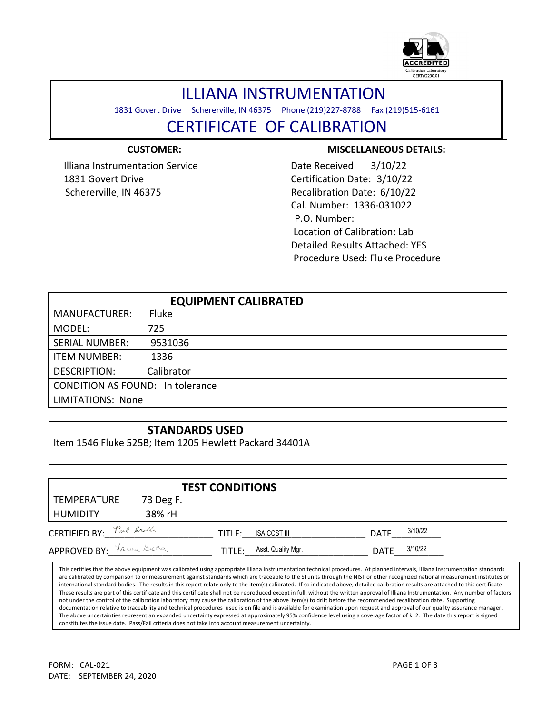

## ILLIANA INSTRUMENTATION

1831 Govert Drive Schererville, IN 46375 Phone (219)227-8788 Fax (219)515-6161

l

## CERTIFICATE OF CALIBRATION

| <b>CUSTOMER:</b>                | <b>MISCELLANEOUS DETAILS:</b>   |
|---------------------------------|---------------------------------|
| Illiana Instrumentation Service | 3/10/22<br>Date Received        |
| 1831 Govert Drive               | Certification Date: 3/10/22     |
| Schererville, IN 46375          | Recalibration Date: 6/10/22     |
|                                 | Cal. Number: 1336-031022        |
|                                 | P.O. Number:                    |
|                                 | Location of Calibration: Lab    |
|                                 | Detailed Results Attached: YES  |
|                                 | Procedure Used: Fluke Procedure |

|                                  | <b>EQUIPMENT CALIBRATED</b> |  |  |  |
|----------------------------------|-----------------------------|--|--|--|
| <b>MANUFACTURER:</b>             | <b>Fluke</b>                |  |  |  |
| MODEL:                           | 725                         |  |  |  |
| <b>SERIAL NUMBER:</b>            | 9531036                     |  |  |  |
| <b>ITEM NUMBER:</b>              | 1336                        |  |  |  |
| DESCRIPTION:                     | Calibrator                  |  |  |  |
| CONDITION AS FOUND: In tolerance |                             |  |  |  |
| <b>LIMITATIONS: None</b>         |                             |  |  |  |

## **STANDARDS USED**

Item 1546 Fluke 525B; Item 1205 Hewlett Packard 34401A

| <b>TEST CONDITIONS</b>                                 |           |        |                    |             |         |  |  |
|--------------------------------------------------------|-----------|--------|--------------------|-------------|---------|--|--|
| <b>TEMPERATURE</b>                                     | 73 Deg F. |        |                    |             |         |  |  |
| <b>HUMIDITY</b>                                        | 38% rH    |        |                    |             |         |  |  |
| <b>CERTIFIED BY:</b> $\int_{a}^{b}$ and $\int_{a}^{b}$ |           | TITLE: | ISA CCST III       | <b>DATE</b> | 3/10/22 |  |  |
| APPROVED BY: Lawa Graha                                |           | TITLE: | Asst. Quality Mgr. | <b>DATE</b> | 3/10/22 |  |  |

This certifies that the above equipment was calibrated using appropriate Illiana Instrumentation technical procedures. At planned intervals, Illiana Instrumentation standards are calibrated by comparison to or measurement against standards which are traceable to the SI units through the NIST or other recognized national measurement institutes or international standard bodies. The results in this report relate only to the item(s) calibrated. If so indicated above, detailed calibration results are attached to this certificate. These results are part of this certificate and this certificate shall not be reproduced except in full, without the written approval of Illiana Instrumentation. Any number of factors not under the control of the calibration laboratory may cause the calibration of the above item(s) to drift before the recommended recalibration date. Supporting documentation relative to traceability and technical procedures used is on file and is available for examination upon request and approval of our quality assurance manager. The above uncertainties represent an expanded uncertainty expressed at approximately 95% confidence level using a coverage factor of k=2. The date this report is signed constitutes the issue date. Pass/Fail criteria does not take into account measurement uncertainty.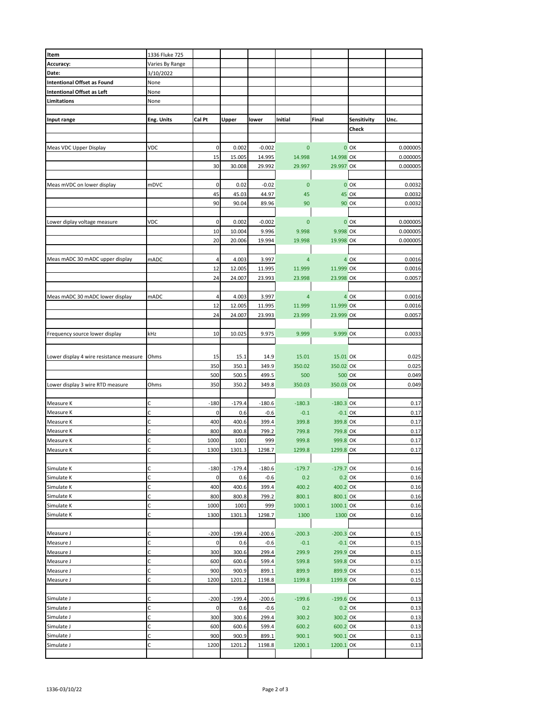| Item                                    | 1336 Fluke 725  |        |          |          |                |               |              |          |
|-----------------------------------------|-----------------|--------|----------|----------|----------------|---------------|--------------|----------|
| Accuracy:                               | Varies By Range |        |          |          |                |               |              |          |
| Date:                                   | 3/10/2022       |        |          |          |                |               |              |          |
| <b>Intentional Offset as Found</b>      | None            |        |          |          |                |               |              |          |
| <b>Intentional Offset as Left</b>       | None            |        |          |          |                |               |              |          |
| Limitations                             | None            |        |          |          |                |               |              |          |
|                                         |                 |        |          |          |                |               |              |          |
| Input range                             | Eng. Units      | Cal Pt | Upper    | lower    | Initial        | Final         | Sensitivity  | Unc.     |
|                                         |                 |        |          |          |                |               | Check        |          |
|                                         |                 |        |          |          |                |               |              |          |
|                                         |                 |        |          |          |                |               |              |          |
| Meas VDC Upper Display                  | VDC             | 0      | 0.002    | $-0.002$ | $\mathbf{0}$   |               | $0$ OK       | 0.000005 |
|                                         |                 | 15     | 15.005   | 14.995   | 14.998         | 14.998 OK     |              | 0.000005 |
|                                         |                 | 30     | 30.008   | 29.992   | 29.997         | 29.997 OK     |              | 0.000005 |
|                                         |                 |        |          |          |                |               |              |          |
| Meas mVDC on lower display              | mDVC            | 0      | 0.02     | $-0.02$  | $\mathbf{0}$   |               | $0$ OK       | 0.0032   |
|                                         |                 | 45     | 45.03    | 44.97    | 45             |               | <b>45 OK</b> | 0.0032   |
|                                         |                 | 90     | 90.04    | 89.96    | 90             |               | <b>90 OK</b> | 0.0032   |
|                                         |                 |        |          |          |                |               |              |          |
|                                         |                 | 0      |          |          | $\overline{0}$ |               |              |          |
| Lower diplay voltage measure            | VDC             |        | 0.002    | $-0.002$ |                |               | $0$ OK       | 0.000005 |
|                                         |                 | 10     | 10.004   | 9.996    | 9.998          | 9.998 OK      |              | 0.000005 |
|                                         |                 | 20     | 20.006   | 19.994   | 19.998         | 19.998 OK     |              | 0.000005 |
|                                         |                 |        |          |          |                |               |              |          |
| Meas mADC 30 mADC upper display         | mADC            | 4      | 4.003    | 3.997    | $\overline{a}$ |               | $4^\circ$ OK | 0.0016   |
|                                         |                 | 12     | 12.005   | 11.995   | 11.999         | 11.999 OK     |              | 0.0016   |
|                                         |                 | 24     | 24.007   | 23.993   | 23.998         | 23.998 OK     |              | 0.0057   |
|                                         |                 |        |          |          |                |               |              |          |
|                                         | <b>mADC</b>     | 4      |          |          |                |               |              |          |
| Meas mADC 30 mADC lower display         |                 |        | 4.003    | 3.997    | $\overline{a}$ |               | 4 OK         | 0.0016   |
|                                         |                 | 12     | 12.005   | 11.995   | 11.999         | 11.999 OK     |              | 0.0016   |
|                                         |                 | 24     | 24.007   | 23.993   | 23.999         | 23.999 OK     |              | 0.0057   |
|                                         |                 |        |          |          |                |               |              |          |
| Frequency source lower display          | kHz             | 10     | 10.025   | 9.975    | 9.999          | 9.999 OK      |              | 0.0033   |
|                                         |                 |        |          |          |                |               |              |          |
|                                         |                 |        |          |          |                |               |              |          |
| Lower display 4 wire resistance measure | Ohms            | 15     | 15.1     | 14.9     | 15.01          | 15.01 OK      |              | 0.025    |
|                                         |                 | 350    | 350.1    | 349.9    | 350.02         | 350.02 OK     |              | 0.025    |
|                                         |                 | 500    | 500.5    | 499.5    | 500            | <b>500 OK</b> |              | 0.049    |
| Lower display 3 wire RTD measure        | Ohms            | 350    | 350.2    | 349.8    | 350.03         | 350.03 OK     |              | 0.049    |
|                                         |                 |        |          |          |                |               |              |          |
| Measure K                               | С               | $-180$ | $-179.4$ | $-180.6$ | $-180.3$       | $-180.3$ OK   |              | 0.17     |
| Measure K                               | C               | 0      | 0.6      | $-0.6$   | $-0.1$         | $-0.1$ OK     |              | 0.17     |
| Measure K                               | C               | 400    | 400.6    | 399.4    | 399.8          | 399.8 OK      |              | 0.17     |
|                                         |                 |        |          |          |                |               |              |          |
| Measure K                               | C               | 800    | 800.8    | 799.2    | 799.8          | 799.8 OK      |              | 0.17     |
| Measure K                               | C               | 1000   | 1001     | 999      | 999.8          | 999.8 OK      |              | 0.17     |
| Measure K                               | C               | 1300   | 1301.3   | 1298.7   | 1299.8         | 1299.8 OK     |              | 0.17     |
|                                         |                 |        |          |          |                |               |              |          |
| Simulate K                              | С               | $-180$ | $-179.4$ | $-180.6$ | $-179.7$       | $-179.7$ OK   |              | 0.16     |
| Simulate K                              | C               | 0      | 0.6      | $-0.6$   | 0.2            |               | 0.2 OK       | 0.16     |
| Simulate K                              | C               | 400    | 400.6    | 399.4    | 400.2          | 400.2 OK      |              | 0.16     |
| Simulate K                              | C               | 800    | 800.8    | 799.2    | 800.1          | 800.1 OK      |              | 0.16     |
| Simulate K                              | C               | 1000   |          |          |                |               |              |          |
|                                         |                 |        | 1001     | 999      | 1000.1         | 1000.1 OK     |              | 0.16     |
| Simulate K                              | С               | 1300   | 1301.3   | 1298.7   | 1300           | 1300 OK       |              | 0.16     |
|                                         |                 |        |          |          |                |               |              |          |
| Measure J                               | С               | $-200$ | $-199.4$ | $-200.6$ | $-200.3$       | $-200.3$ OK   |              | 0.15     |
| Measure J                               | С               | 0      | 0.6      | $-0.6$   | $-0.1$         | $-0.1$ OK     |              | 0.15     |
| Measure J                               | С               | 300    | 300.6    | 299.4    | 299.9          | 299.9 OK      |              | 0.15     |
| Measure J                               | C               | 600    | 600.6    | 599.4    | 599.8          | 599.8 OK      |              | 0.15     |
| Measure J                               | C               | 900    | 900.9    | 899.1    | 899.9          | 899.9 OK      |              | 0.15     |
| Measure J                               | С               | 1200   | 1201.2   | 1198.8   | 1199.8         | 1199.8 OK     |              | 0.15     |
|                                         |                 |        |          |          |                |               |              |          |
|                                         |                 |        |          |          |                |               |              |          |
| Simulate J                              | С               | $-200$ | $-199.4$ | $-200.6$ | $-199.6$       | $-199.6$ OK   |              | 0.13     |
| Simulate J                              | C               | 0      | 0.6      | $-0.6$   | 0.2            |               | 0.2 OK       | 0.13     |
| Simulate J                              | С               | 300    | 300.6    | 299.4    | 300.2          | 300.2 OK      |              | 0.13     |
| Simulate J                              | С               | 600    | 600.6    | 599.4    | 600.2          | 600.2 OK      |              | 0.13     |
| Simulate J                              | C               | 900    | 900.9    | 899.1    | 900.1          | 900.1 OK      |              | 0.13     |
| Simulate J                              | C               | 1200   | 1201.2   | 1198.8   | 1200.1         | 1200.1 OK     |              | 0.13     |
|                                         |                 |        |          |          |                |               |              |          |
|                                         |                 |        |          |          |                |               |              |          |